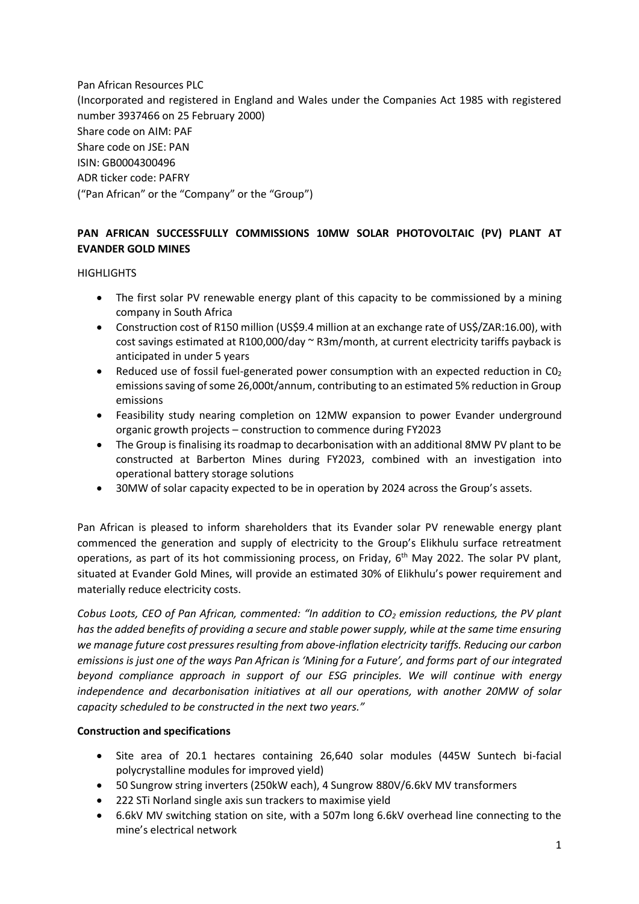Pan African Resources PLC (Incorporated and registered in England and Wales under the Companies Act 1985 with registered number 3937466 on 25 February 2000) Share code on AIM: PAF Share code on JSE: PAN ISIN: GB0004300496 ADR ticker code: PAFRY ("Pan African" or the "Company" or the "Group")

## **PAN AFRICAN SUCCESSFULLY COMMISSIONS 10MW SOLAR PHOTOVOLTAIC (PV) PLANT AT EVANDER GOLD MINES**

## **HIGHLIGHTS**

- The first solar PV renewable energy plant of this capacity to be commissioned by a mining company in South Africa
- Construction cost of R150 million (US\$9.4 million at an exchange rate of US\$/ZAR:16.00), with cost savings estimated at R100,000/day ~ R3m/month, at current electricity tariffs payback is anticipated in under 5 years
- Reduced use of fossil fuel-generated power consumption with an expected reduction in  $CO<sub>2</sub>$ emissions saving of some 26,000t/annum, contributing to an estimated 5% reduction in Group emissions
- Feasibility study nearing completion on 12MW expansion to power Evander underground organic growth projects – construction to commence during FY2023
- The Group is finalising its roadmap to decarbonisation with an additional 8MW PV plant to be constructed at Barberton Mines during FY2023, combined with an investigation into operational battery storage solutions
- 30MW of solar capacity expected to be in operation by 2024 across the Group's assets.

Pan African is pleased to inform shareholders that its Evander solar PV renewable energy plant commenced the generation and supply of electricity to the Group's Elikhulu surface retreatment operations, as part of its hot commissioning process, on Friday, 6<sup>th</sup> May 2022. The solar PV plant, situated at Evander Gold Mines, will provide an estimated 30% of Elikhulu's power requirement and materially reduce electricity costs.

*Cobus Loots, CEO of Pan African, commented: "In addition to CO<sup>2</sup> emission reductions, the PV plant has the added benefits of providing a secure and stable power supply, while at the same time ensuring we manage future cost pressures resulting from above-inflation electricity tariffs. Reducing our carbon emissions is just one of the ways Pan African is 'Mining for a Future', and forms part of our integrated beyond compliance approach in support of our ESG principles. We will continue with energy independence and decarbonisation initiatives at all our operations, with another 20MW of solar capacity scheduled to be constructed in the next two years."*

## **Construction and specifications**

- Site area of 20.1 hectares containing 26,640 solar modules (445W Suntech bi-facial polycrystalline modules for improved yield)
- 50 Sungrow string inverters (250kW each), 4 Sungrow 880V/6.6kV MV transformers
- 222 STi Norland single axis sun trackers to maximise yield
- 6.6kV MV switching station on site, with a 507m long 6.6kV overhead line connecting to the mine's electrical network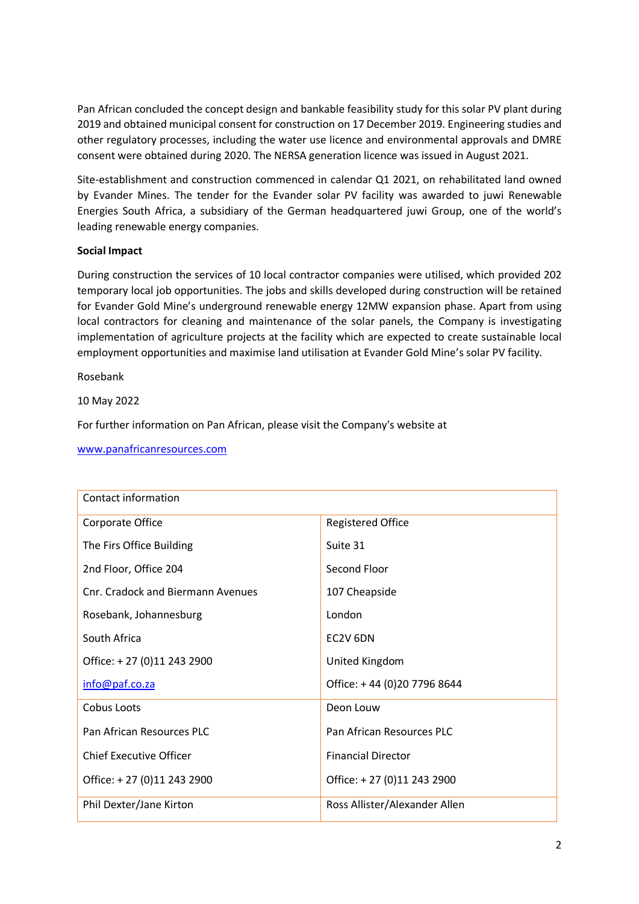Pan African concluded the concept design and bankable feasibility study for this solar PV plant during 2019 and obtained municipal consent for construction on 17 December 2019. Engineering studies and other regulatory processes, including the water use licence and environmental approvals and DMRE consent were obtained during 2020. The NERSA generation licence was issued in August 2021.

Site-establishment and construction commenced in calendar Q1 2021, on rehabilitated land owned by Evander Mines. The tender for the Evander solar PV facility was awarded to juwi Renewable Energies South Africa, a subsidiary of the German headquartered juwi Group, one of the world's leading renewable energy companies.

## **Social Impact**

During construction the services of 10 local contractor companies were utilised, which provided 202 temporary local job opportunities. The jobs and skills developed during construction will be retained for Evander Gold Mine's underground renewable energy 12MW expansion phase. Apart from using local contractors for cleaning and maintenance of the solar panels, the Company is investigating implementation of agriculture projects at the facility which are expected to create sustainable local employment opportunities and maximise land utilisation at Evander Gold Mine's solar PV facility.

Rosebank

10 May 2022

For further information on Pan African, please visit the Company's website at

| Contact information               |                               |
|-----------------------------------|-------------------------------|
| Corporate Office                  | <b>Registered Office</b>      |
| The Firs Office Building          | Suite 31                      |
| 2nd Floor, Office 204             | Second Floor                  |
| Cnr. Cradock and Biermann Avenues | 107 Cheapside                 |
| Rosebank, Johannesburg            | London                        |
| South Africa                      | EC2V 6DN                      |
| Office: +27 (0)11 243 2900        | United Kingdom                |
| info@paf.co.za                    | Office: +44 (0)20 7796 8644   |
| Cobus Loots                       | Deon Louw                     |
| Pan African Resources PLC         | Pan African Resources PLC     |
| Chief Executive Officer           | <b>Financial Director</b>     |
| Office: +27 (0)11 243 2900        | Office: +27 (0)11 243 2900    |
| Phil Dexter/Jane Kirton           | Ross Allister/Alexander Allen |

[www.panafricanresources.com](http://www.panafricanresources.com/)